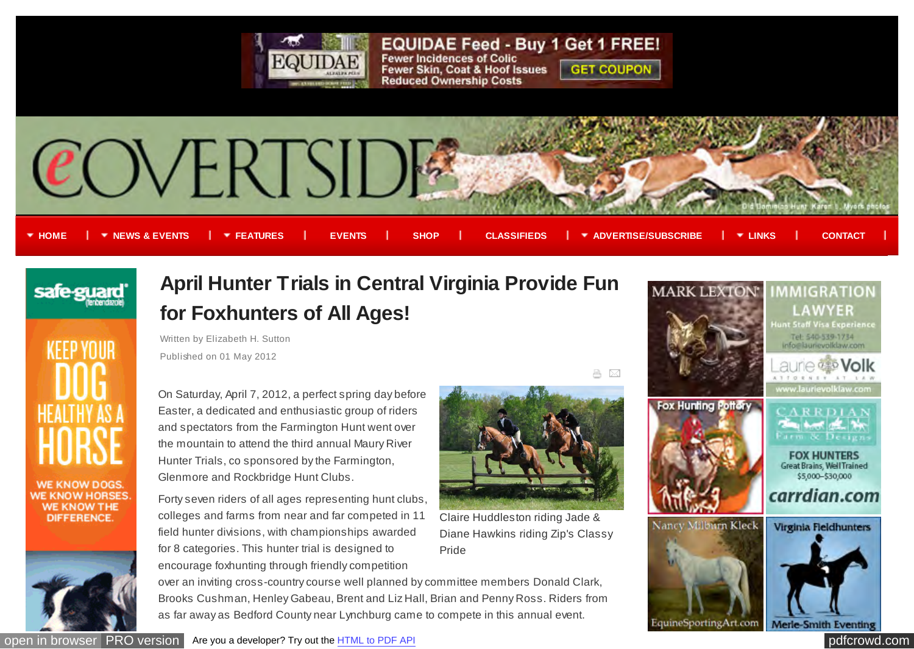

## **EQUIDAE Feed - Buy 1 Get 1 FREE!**

**Fewer Incidences of Colic** Fewer Skin, Coat & Hoof Issues **Reduced Ownership Costs** 



A M

<span id="page-0-0"></span>



#### **WE KNOW DOGS WE KNOW HORSES WE KNOW THE DIFFERENCE.**



# **[April Hunter Trials in Central Virginia Provide Fun](http://www.ecovertside.net/features/feature-articles/hunt-reports/296-elizabeth-h-sutton) for Foxhunters of All Ages!**

Published on 01 May 2012 Written by Elizabeth H. Sutton

On Saturday, April 7, 2012, a perfect spring day before Easter, a dedicated and enthusiastic group of riders and spectators from the Farmington Hunt went over the mountain to attend the third annual Maury River Hunter Trials, co sponsored by the Farmington, Glenmore and Rockbridge Hunt Clubs.

Forty seven riders of all ages representing hunt clubs, colleges and farms from near and far competed in 11 field hunter divisions, with championships awarded for 8 categories. This hunter trial is designed to encourage foxhunting through friendly competition



Claire Huddleston riding Jade & Diane Hawkins riding Zip's Classy Pride

over an inviting cross-country course well planned by committee members Donald Clark, Brooks Cushman, Henley Gabeau, Brent and Liz Hall, Brian and Penny Ross. Riders from as far away as Bedford County near Lynchburg came to compete in this annual event.



iquineSportingArt.com

[ope](http://pdfcrowd.com/redirect/?url=http%3a%2f%2fwww.ecovertside.net%2ffeatures%2ffeature-articles%2fhunt-reports%2f296-elizabeth-h-sutton&id=ma-120709080901-7ef4752a)[n in browser](http://www.ecovertside.net/component/adagency/adagencyAds/click/17/4/31) [PRO version](http://pdfcrowd.com/customize/) Are you a developer? Try out th[e HTML to PDF API](http://pdfcrowd.com/html-to-pdf-api/?ref=pdf) [pdfcrowd.com](http://pdfcrowd.com)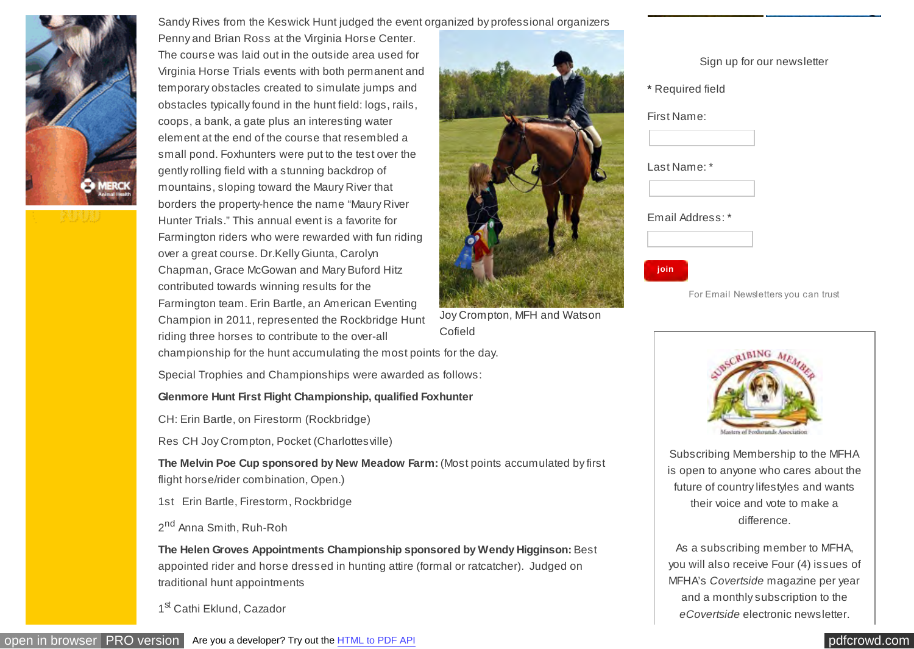

Sandy Rives from the Keswick Hunt judged the event organized by professional organizers

Penny and Brian Ross at the Virginia Horse Center. The course was laid out in the outside area used for Virginia Horse Trials events with both permanent and temporary obstacles created to simulate jumps and obstacles typically found in the hunt field: logs, rails, coops, a bank, a gate plus an interesting water element at the end of the course that resembled a small pond. Foxhunters were put to the test over the gently rolling field with a stunning backdrop of mountains, sloping toward the Maury River that borders the property-hence the name "Maury River Hunter Trials." This annual event is a favorite for Farmington riders who were rewarded with fun riding over a great course. Dr.Kelly Giunta, Carolyn Chapman, Grace McGowan and Mary Buford Hitz contributed towards winning results for the Farmington team. Erin Bartle, an American Eventing Champion in 2011, represented the Rockbridge Hunt riding three horses to contribute to the over-all



Joy Crompton, MFH and Watson Cofield

championship for the hunt accumulating the most points for the day.

Special Trophies and Championships were awarded as follows:

#### **Glenmore Hunt First Flight Championship, qualified Foxhunter**

CH: Erin Bartle, on Firestorm (Rockbridge)

Res CH Joy Crompton, Pocket (Charlottesville)

**The Melvin Poe Cup sponsored by New Meadow Farm:** (Most points accumulated by first flight horse/rider combination, Open.)

1st Erin Bartle, Firestorm, Rockbridge

2<sup>nd</sup> Anna Smith, Ruh-Roh

**The Helen Groves Appointments Championship sponsored by Wendy Higginson:** Best appointed rider and horse dressed in hunting attire (formal or ratcatcher). Judged on traditional hunt appointments

1st Cathi Eklund, Cazador

Sign up for our newsletter **\*** Required field First Name: Last Name: \* Email Address: \* **join**

For [Email Newsletters](http://www.constantcontact.com/jmml/email-newsletter.jsp?pn=rivermedia) you can trust



Subscribing Membership to the MFHA is open to anyone who cares about the future of country lifestyles and wants their voice and vote to make a difference.

As a subscribing member to MFHA, you will also receive Four (4) issues of MFHA's *Covertside* magazine per year and a monthly subscription to the *eCovertside* electronic newsletter.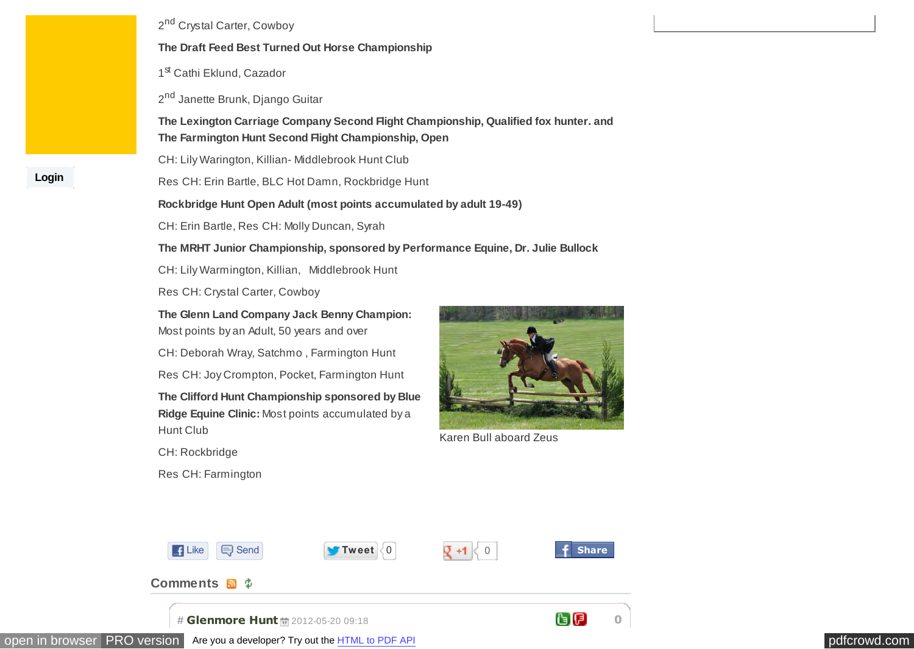2<sup>nd</sup> Crystal Carter, Cowboy

## **The Draft Feed Best Turned Out Horse Championship**

1st Cathi Eklund, Cazador

2<sup>nd</sup> Janette Brunk, Django Guitar

**The Lexington Carriage Company Second Flight Championship, Qualified fox hunter. and The Farmington Hunt Second Flight Championship, Open**

CH: Lily Warington, Killian- Middlebrook Hunt Club

Res CH: Erin Bartle, BLC Hot Damn, Rockbridge Hunt

**Rockbridge Hunt Open Adult (most points accumulated by adult 19-49)**

CH: Erin Bartle, Res CH: Molly Duncan, Syrah

## **The MRHT Junior Championship, sponsored by Performance Equine, Dr. Julie Bullock**

CH: Lily Warmington, Killian, Middlebrook Hunt

Res CH: Crystal Carter, Cowboy

**The Glenn Land Company Jack Benny Champion:** Most points by an Adult, 50 years and over

CH: Deborah Wray, Satchmo , Farmington Hunt

Res CH: Joy Crompton, Pocket, Farmington Hunt

**The Clifford Hunt Championship sponsored by Blue Ridge Equine Clinic:** Most points accumulated by a Hunt Club

CH: Rockbridge

Res CH: Farmington



Karen Bull aboard Zeus







G (F)

**0**





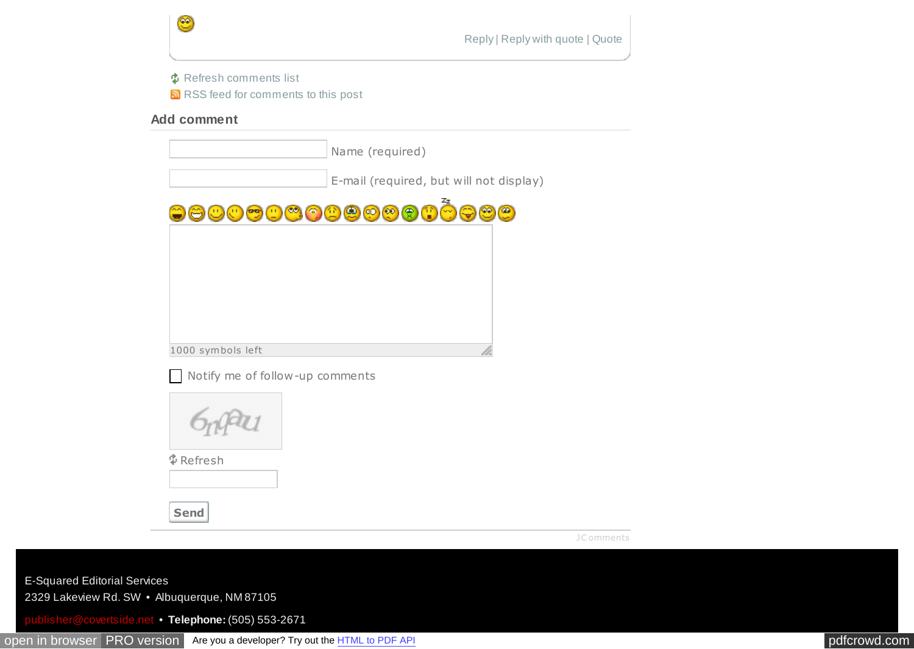[JC omments](http://www.joomlatune.com/)

- [Refresh comments list](#page-0-0)
- [RSS feed for comments to this post](http://www.ecovertside.net/component/jcomments/feed/com_content/296)

## **Add comment**

| Name (required)                         |
|-----------------------------------------|
| E-mail (required, but will not display) |
| <u>0000000000000</u><br>O               |
|                                         |
|                                         |
|                                         |
| 1000 symbols left                       |
| Notify me of follow-up comments         |
|                                         |
| <b><i>\$</i></b> Refresh                |
| <b>Send</b>                             |

E-Squared Editorial Services 2329 Lakeview Rd. SW • Albuquerque, NM 87105

[publisher@covertside.net](mailto:publisher@covertside.net?subject=Website%20Inquiry) • **Telephone:** (505) 553-2671